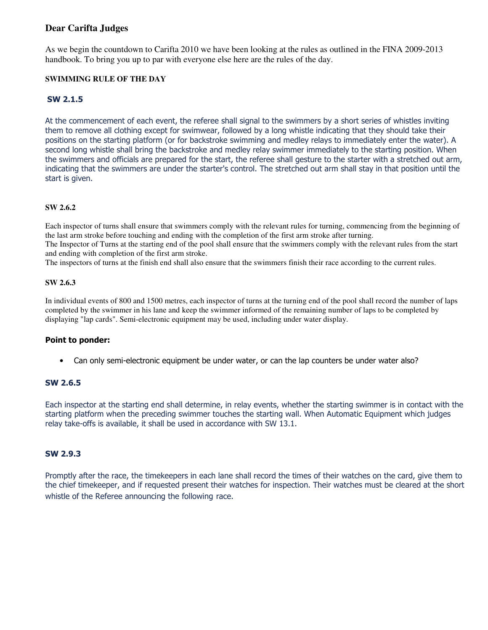# **Dear Carifta Judges**

As we begin the countdown to Carifta 2010 we have been looking at the rules as outlined in the FINA 2009-2013 handbook. To bring you up to par with everyone else here are the rules of the day.

### **SWIMMING RULE OF THE DAY**

# SW 2.1.5

At the commencement of each event, the referee shall signal to the swimmers by a short series of whistles inviting them to remove all clothing except for swimwear, followed by a long whistle indicating that they should take their positions on the starting platform (or for backstroke swimming and medley relays to immediately enter the water). A second long whistle shall bring the backstroke and medley relay swimmer immediately to the starting position. When the swimmers and officials are prepared for the start, the referee shall gesture to the starter with a stretched out arm, indicating that the swimmers are under the starter's control. The stretched out arm shall stay in that position until the start is given.

### **SW 2.6.2**

Each inspector of turns shall ensure that swimmers comply with the relevant rules for turning, commencing from the beginning of the last arm stroke before touching and ending with the completion of the first arm stroke after turning.

The Inspector of Turns at the starting end of the pool shall ensure that the swimmers comply with the relevant rules from the start and ending with completion of the first arm stroke.

The inspectors of turns at the finish end shall also ensure that the swimmers finish their race according to the current rules.

#### **SW 2.6.3**

In individual events of 800 and 1500 metres, each inspector of turns at the turning end of the pool shall record the number of laps completed by the swimmer in his lane and keep the swimmer informed of the remaining number of laps to be completed by displaying "lap cards". Semi-electronic equipment may be used, including under water display.

#### Point to ponder:

• Can only semi-electronic equipment be under water, or can the lap counters be under water also?

# SW 2.6.5

Each inspector at the starting end shall determine, in relay events, whether the starting swimmer is in contact with the starting platform when the preceding swimmer touches the starting wall. When Automatic Equipment which judges relay take-offs is available, it shall be used in accordance with SW 13.1.

# SW 2.9.3

Promptly after the race, the timekeepers in each lane shall record the times of their watches on the card, give them to the chief timekeeper, and if requested present their watches for inspection. Their watches must be cleared at the short whistle of the Referee announcing the following race.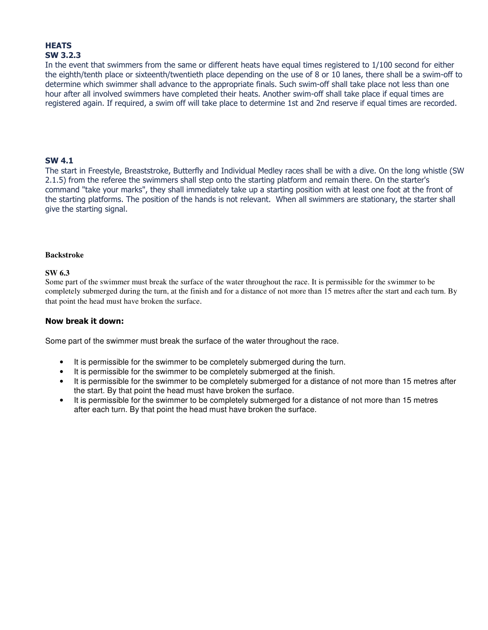# **HEATS** SW 3.2.3

In the event that swimmers from the same or different heats have equal times registered to 1/100 second for either the eighth/tenth place or sixteenth/twentieth place depending on the use of 8 or 10 lanes, there shall be a swim-off to determine which swimmer shall advance to the appropriate finals. Such swim-off shall take place not less than one hour after all involved swimmers have completed their heats. Another swim-off shall take place if equal times are registered again. If required, a swim off will take place to determine 1st and 2nd reserve if equal times are recorded.

# SW 4.1

The start in Freestyle, Breaststroke, Butterfly and Individual Medley races shall be with a dive. On the long whistle (SW 2.1.5) from the referee the swimmers shall step onto the starting platform and remain there. On the starter's command "take your marks", they shall immediately take up a starting position with at least one foot at the front of the starting platforms. The position of the hands is not relevant. When all swimmers are stationary, the starter shall give the starting signal.

#### **Backstroke**

#### **SW 6.3**

Some part of the swimmer must break the surface of the water throughout the race. It is permissible for the swimmer to be completely submerged during the turn, at the finish and for a distance of not more than 15 metres after the start and each turn. By that point the head must have broken the surface.

# Now break it down:

Some part of the swimmer must break the surface of the water throughout the race.

- It is permissible for the swimmer to be completely submerged during the turn.
- It is permissible for the swimmer to be completely submerged at the finish.
- It is permissible for the swimmer to be completely submerged for a distance of not more than 15 metres after the start. By that point the head must have broken the surface.
- It is permissible for the swimmer to be completely submerged for a distance of not more than 15 metres after each turn. By that point the head must have broken the surface.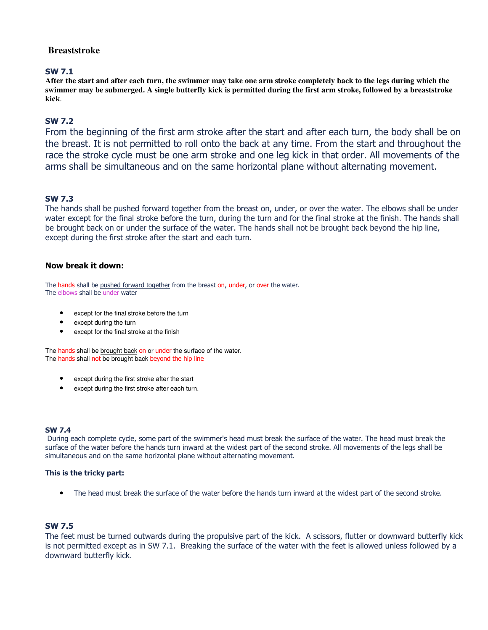# **Breaststroke**

### SW 7.1

**After the start and after each turn, the swimmer may take one arm stroke completely back to the legs during which the swimmer may be submerged. A single butterfly kick is permitted during the first arm stroke, followed by a breaststroke kick**.

# SW 7.2

From the beginning of the first arm stroke after the start and after each turn, the body shall be on the breast. It is not permitted to roll onto the back at any time. From the start and throughout the race the stroke cycle must be one arm stroke and one leg kick in that order. All movements of the arms shall be simultaneous and on the same horizontal plane without alternating movement.

# SW 7.3

The hands shall be pushed forward together from the breast on, under, or over the water. The elbows shall be under water except for the final stroke before the turn, during the turn and for the final stroke at the finish. The hands shall be brought back on or under the surface of the water. The hands shall not be brought back beyond the hip line, except during the first stroke after the start and each turn.

### Now break it down:

The hands shall be pushed forward together from the breast on, under, or over the water. The elbows shall be under water

- except for the final stroke before the turn
- except during the turn
- except for the final stroke at the finish

The hands shall be brought back on or under the surface of the water. The hands shall not be brought back beyond the hip line

- except during the first stroke after the start
- except during the first stroke after each turn.

#### SW 7.4

During each complete cycle, some part of the swimmer's head must break the surface of the water. The head must break the surface of the water before the hands turn inward at the widest part of the second stroke. All movements of the legs shall be simultaneous and on the same horizontal plane without alternating movement.

#### This is the tricky part:

• The head must break the surface of the water before the hands turn inward at the widest part of the second stroke.

# SW 7.5

The feet must be turned outwards during the propulsive part of the kick. A scissors, flutter or downward butterfly kick is not permitted except as in SW 7.1. Breaking the surface of the water with the feet is allowed unless followed by a downward butterfly kick.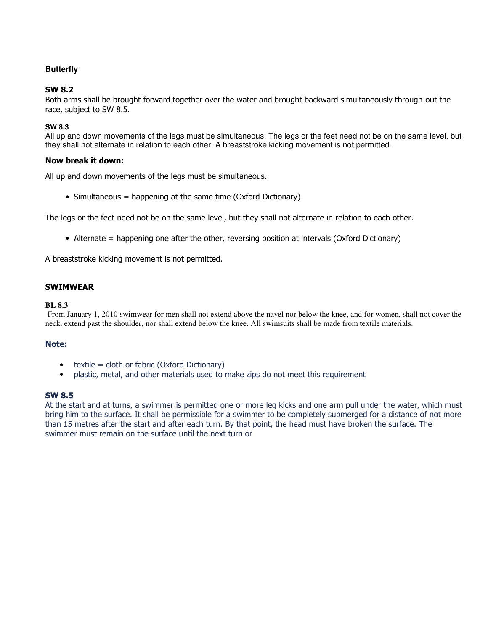# **Butterfly**

# SW 8.2

Both arms shall be brought forward together over the water and brought backward simultaneously through-out the race, subject to SW 8.5.

## **SW 8.3**

All up and down movements of the legs must be simultaneous. The legs or the feet need not be on the same level, but they shall not alternate in relation to each other. A breaststroke kicking movement is not permitted.

### Now break it down:

All up and down movements of the legs must be simultaneous.

• Simultaneous = happening at the same time (Oxford Dictionary)

The legs or the feet need not be on the same level, but they shall not alternate in relation to each other.

• Alternate = happening one after the other, reversing position at intervals (Oxford Dictionary)

A breaststroke kicking movement is not permitted.

### SWIMWEAR

#### **BL 8.3**

From January 1, 2010 swimwear for men shall not extend above the navel nor below the knee, and for women, shall not cover the neck, extend past the shoulder, nor shall extend below the knee. All swimsuits shall be made from textile materials.

#### Note:

- $\bullet$  textile = cloth or fabric (Oxford Dictionary)
- plastic, metal, and other materials used to make zips do not meet this requirement

#### SW 8.5

At the start and at turns, a swimmer is permitted one or more leg kicks and one arm pull under the water, which must bring him to the surface. It shall be permissible for a swimmer to be completely submerged for a distance of not more than 15 metres after the start and after each turn. By that point, the head must have broken the surface. The swimmer must remain on the surface until the next turn or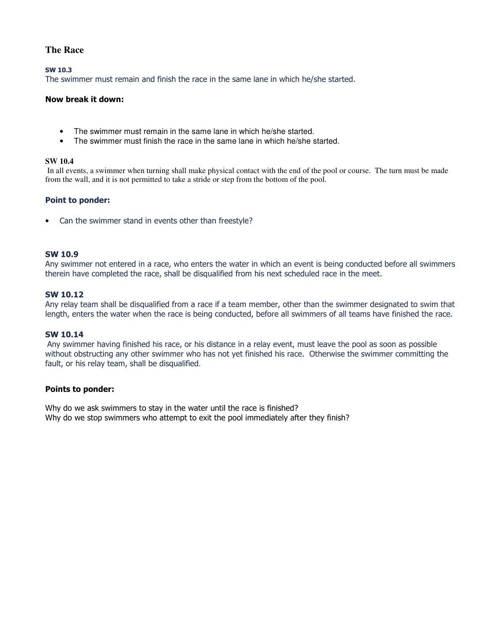# **The Race**

SW 10.3

The swimmer must remain and finish the race in the same lane in which he/she started.

#### Now break it down:

- The swimmer must remain in the same lane in which he/she started.
- The swimmer must finish the race in the same lane in which he/she started.

#### **SW 10.4**

 In all events, a swimmer when turning shall make physical contact with the end of the pool or course. The turn must be made from the wall, and it is not permitted to take a stride or step from the bottom of the pool.

#### Point to ponder:

• Can the swimmer stand in events other than freestyle?

#### SW 10.9

Any swimmer not entered in a race, who enters the water in which an event is being conducted before all swimmers therein have completed the race, shall be disqualified from his next scheduled race in the meet.

### SW 10.12

Any relay team shall be disqualified from a race if a team member, other than the swimmer designated to swim that length, enters the water when the race is being conducted, before all swimmers of all teams have finished the race.

#### SW 10.14

Any swimmer having finished his race, or his distance in a relay event, must leave the pool as soon as possible without obstructing any other swimmer who has not yet finished his race. Otherwise the swimmer committing the fault, or his relay team, shall be disqualified.

### Points to ponder:

Why do we ask swimmers to stay in the water until the race is finished? Why do we stop swimmers who attempt to exit the pool immediately after they finish?